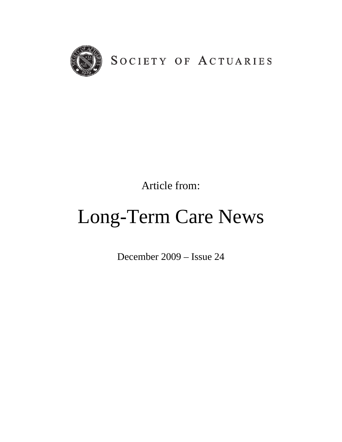

Article from:

## Long-Term Care News

December 2009 – Issue 24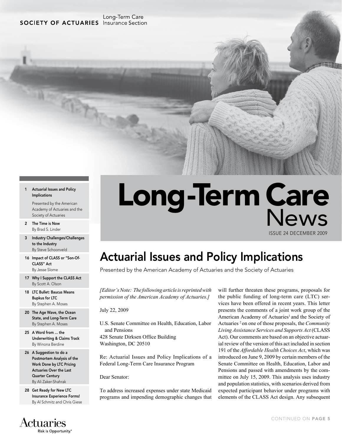#### Long-Term Care **SOCIETY OF ACTUARIES** Insurance Section

亚石

#### 1 Actuarial Issues and Policy Implications

Presented by the American Academy of Actuaries and the Society of Actuaries

- 2 The Time is Now By Brad S. Linder
- 3 Industry Challenges/Challenges to the Industry By Steve Schoonveld
- 16 Impact of CLASS or "Son-Of-CLASS" Act By Jesse Slome
- 17 Why I Support the CLASS Act By Scott A. Olson
- 18 LTC Bullet: Baucus Means Bupkus for LTC By Stephen A. Moses
- 20 The Age Wave, the Ocean State, and Long-Term Care By Stephen A. Moses
- 25 A Word from ... the Underwriting & Claims Track By Winona Berdine
- 26 A Suggestion to do a Postmortem Analysis of the Work Done by LTC Pricing Actuaries Over the Last Quarter Century By Ali Zaker-Shahrak
- 28 Get Ready for New LTC Insurance Experience Forms! By Al Schmitz and Chris Giese

#### **Actuaries** Risk is Opportunity.®

# Long-Term Care

ISSUE 24 DECEMBER 2009

### Actuarial Issues and Policy Implications

Presented by the American Academy of Actuaries and the Society of Actuaries

*[Editor's Note: The following article is reprinted with permission of the American Academy of Actuaries.]*

July 22, 2009

U.S. Senate Committee on Health, Education, Labor and Pensions 428 Senate Dirksen Office Building

Washington, DC 20510

Re: Actuarial Issues and Policy Implications of a Federal Long-Term Care Insurance Program

Dear Senator:

To address increased expenses under state Medicaid programs and impending demographic changes that will further threaten these programs, proposals for the public funding of long-term care (LTC) services have been offered in recent years. This letter presents the comments of a joint work group of the American Academy of Actuaries<sup>1</sup> and the Society of Actuaries 2 on one of those proposals, the *Community Living Assistance Services and Supports Act* (CLASS Act). Our comments are based on an objective actuarial review of the version of this act included in section 191 of the *Affordable Health Choices Act*, which was introduced on June 9, 2009 by certain members of the Senate Committee on Health, Education, Labor and Pensions and passed with amendments by the committee on July 15, 2009. This analysis uses industry and population statistics, with scenarios derived from expected participant behavior under programs with elements of the CLASS Act design. Any subsequent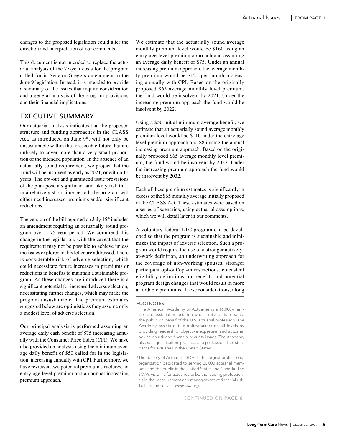changes to the proposed legislation could alter the direction and interpretation of our comments.

This document is not intended to replace the actuarial analysis of the 75-year costs for the program called for in Senator Gregg's amendment to the June 9 legislation. Instead, it is intended to provide a summary of the issues that require consideration and a general analysis of the program provisions and their financial implications.

#### Executive Summary

Our actuarial analysis indicates that the proposed structure and funding approaches in the CLASS Act, as introduced on June  $9<sup>th</sup>$ , will not only be unsustainable within the foreseeable future, but are unlikely to cover more than a very small proportion of the intended population. In the absence of an actuarially sound requirement, we project that the Fund will be insolvent as early as 2021, or within 11 years. The opt-out and guaranteed issue provisions of the plan pose a significant and likely risk that, in a relatively short time period, the program will either need increased premiums and/or significant reductions.

The version of the bill reported on July  $15<sup>th</sup>$  includes an amendment requiring an actuarially sound program over a 75-year period. We commend this change in the legislation, with the caveat that the requirement may not be possible to achieve unless the issues explored in this letter are addressed. There is considerable risk of adverse selection, which could necessitate future increases in premiums or reductions in benefits to maintain a sustainable program. As these changes are introduced there is a significant potential for increased adverse selection, necessitating further changes, which may make the program unsustainable. The premium estimates suggested below are optimistic as they assume only a modest level of adverse selection.

Our principal analysis is performed assuming an average daily cash benefit of \$75 increasing annually with the Consumer Price Index (CPI). We have also provided an analysis using the minimum average daily benefit of \$50 called for in the legislation, increasing annually with CPI. Furthermore, we have reviewed two potential premium structures, an entry-age level premium and an annual increasing premium approach.

We estimate that the actuarially sound average monthly premium level would be \$160 using an entry-age level premium approach and assuming an average daily benefit of \$75. Under an annual increasing premium approach, the average monthly premium would be \$125 per month increasing annually with CPI. Based on the originally proposed \$65 average monthly level premium, the fund would be insolvent by 2021. Under the increasing premium approach the fund would be insolvent by 2022.

Using a \$50 initial minimum average benefit, we estimate that an actuarially sound average monthly premium level would be \$110 under the entry-age level premium approach and \$86 using the annual increasing premium approach. Based on the originally proposed \$65 average monthly level premium, the fund would be insolvent by 2027. Under the increasing premium approach the fund would be insolvent by 2032.

Each of these premium estimates is significantly in excess of the \$65 monthly average initially proposed in the CLASS Act. These estimates were based on a series of scenarios, using actuarial assumptions, which we will detail later in our comments.

A voluntary federal LTC program can be developed so that the program is sustainable and minimizes the impact of adverse selection. Such a program would require the use of a stronger activelyat-work definition, an underwriting approach for the coverage of non-working spouses, stronger participant opt-out/opt-in restrictions, consistent eligibility definitions for benefits and potential program design changes that would result in more affordable premiums. These considerations, along

**FOOTNOTES** 

<sup>&</sup>lt;sup>1</sup> The American Academy of Actuaries is a 16,000-member professional association whose mission is to serve the public on behalf of the U.S. actuarial profession. The Academy assists public policymakers on all levels by providing leadership, objective expertise, and actuarial advice on risk and financial security issues. The Academy also sets qualification, practice, and professionalism standards for actuaries in the United States.

<sup>2</sup> The Society of Actuaries (SOA) is the largest professional organization dedicated to serving 20,000 actuarial members and the public in the United States and Canada. The SOA's vision is for actuaries to be the leading professionals in the measurement and management of financial risk. To learn more, visit *www.soa.org.*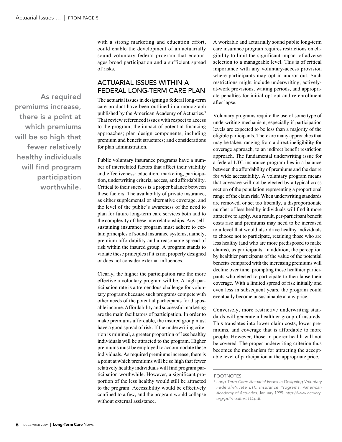As required premiums increase, there is a point at which premiums will be so high that fewer relatively healthy individuals will find program participation worthwhile.

with a strong marketing and education effort, could enable the development of an actuarially sound voluntary federal program that encourages broad participation and a sufficient spread of risks.

#### Actuarial Issues within a Federal Long-Term Care Plan

The actuarial issues in designing a federal long-term care product have been outlined in a monograph published by the American Academy of Actuaries.3 That review referenced issues with respect to access to the program; the impact of potential financing approaches; plan design components, including premium and benefit structures; and considerations for plan administration.

Public voluntary insurance programs have a number of interrelated factors that affect their viability and effectiveness: education, marketing, participation, underwriting criteria, access, and affordability. Critical to their success is a proper balance between these factors. The availability of private insurance, as either supplemental or alternative coverage, and the level of the public's awareness of the need to plan for future long-term care services both add to the complexity of these interrelationships. Any selfsustaining insurance program must adhere to certain principles of sound insurance systems, namely, premium affordability and a reasonable spread of risk within the insured group. A program stands to violate these principles if it is not properly designed or does not consider external influences.

Clearly, the higher the participation rate the more effective a voluntary program will be. A high participation rate is a tremendous challenge for voluntary programs because such programs compete with other needs of the potential participants for disposable income. Affordability and successful marketing are the main facilitators of participation. In order to make premiums affordable, the insured group must have a good spread of risk. If the underwriting criterion is minimal, a greater proportion of less healthy individuals will be attracted to the program. Higher premiums must be employed to accommodate these individuals. As required premiums increase, there is a point at which premiums will be so high that fewer relatively healthy individuals will find program participation worthwhile. However, a significant proportion of the less healthy would still be attracted to the program. Accessibility would be effectively confined to a few, and the program would collapse without external assistance.

A workable and actuarially sound public long-term care insurance program requires restrictions on eligibility to limit the significant impact of adverse selection to a manageable level. This is of critical importance with any voluntary-access provision where participants may opt in and/or out. Such restrictions might include underwriting, activelyat-work provisions, waiting periods, and appropriate penalties for initial opt out and re-enrollment after lapse.

Voluntary programs require the use of some type of underwriting mechanism, especially if participation levels are expected to be less than a majority of the eligible participants. There are many approaches that may be taken, ranging from a direct ineligibility for coverage approach, to an indirect benefit restriction approach. The fundamental underwriting issue for a federal LTC insurance program lies in a balance between the affordability of premiums and the desire for wide accessibility. A voluntary program means that coverage will not be elected by a typical cross section of the population representing a proportional range of the claim risk. When underwriting standards are removed, or set too liberally, a disproportionate number of less healthy individuals will find it more attractive to apply. As a result, per-participant benefit costs rise and premiums may need to be increased to a level that would also drive healthy individuals to choose not to participate, retaining those who are less healthy (and who are more predisposed to make claims), as participants. In addition, the perception by healthier participants of the value of the potential benefits compared with the increasing premiums will decline over time, prompting those healthier participants who elected to participate to then lapse their coverage. With a limited spread of risk initially and even less in subsequent years, the program could eventually become unsustainable at any price.

Conversely, more restrictive underwriting standards will generate a healthier group of insureds. This translates into lower claim costs, lower premiums, and coverage that is affordable to more people. However, those in poorer health will not be covered. The proper underwriting criterion thus becomes the mechanism for attracting the acceptable level of participation at the appropriate price.

**FOOTNOTES** 

<sup>3</sup> *Long-Term Care: Actuarial Issues in Designing Voluntary Federal-Private LTC Insurance Programs, American Academy of Actuaries,* January 1999. *http://www.actuary. org/pdf/health/LTC.pdf.*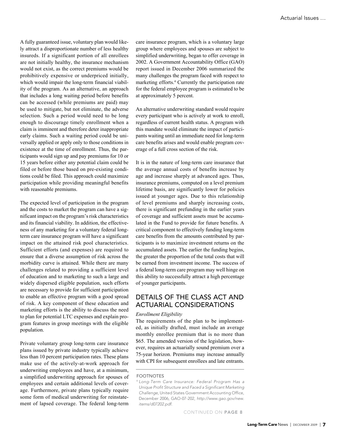A fully guaranteed issue, voluntary plan would likely attract a disproportionate number of less healthy insureds. If a significant portion of all enrollees are not initially healthy, the insurance mechanism would not exist, as the correct premiums would be prohibitively expensive or underpriced initially, which would impair the long-term financial viability of the program. As an alternative, an approach that includes a long waiting period before benefits can be accessed (while premiums are paid) may be used to mitigate, but not eliminate, the adverse selection. Such a period would need to be long enough to discourage timely enrollment when a claim is imminent and therefore deter inappropriate early claims. Such a waiting period could be universally applied or apply only to those conditions in existence at the time of enrollment. Thus, the participants would sign up and pay premiums for 10 or 15 years before either any potential claim could be filed or before those based on pre-existing conditions could be filed. This approach could maximize participation while providing meaningful benefits with reasonable premiums.

The expected level of participation in the program and the costs to market the program can have a significant impact on the program's risk characteristics and its financial viability. In addition, the effectiveness of any marketing for a voluntary federal longterm care insurance program will have a significant impact on the attained risk pool characteristics. Sufficient efforts (and expenses) are required to ensure that a diverse assumption of risk across the morbidity curve is attained. While there are many challenges related to providing a sufficient level of education and to marketing to such a large and widely dispersed eligible population, such efforts are necessary to provide for sufficient participation to enable an effective program with a good spread of risk. A key component of these education and marketing efforts is the ability to discuss the need to plan for potential LTC expenses and explain program features in group meetings with the eligible population.

Private voluntary group long-term care insurance plans issued by private industry typically achieve less than 10 percent participation rates. These plans make use of the actively-at-work approach for underwriting employees and have, at a minimum, a simplified underwriting approach for spouses of employees and certain additional levels of coverage. Furthermore, private plans typically require some form of medical underwriting for reinstatement of lapsed coverage. The federal long-term

care insurance program, which is a voluntary large group where employees and spouses are subject to simplified underwriting, began to offer coverage in 2002. A Government Accountability Office (GAO) report issued in December 2006 summarized the many challenges the program faced with respect to marketing efforts.4 Currently the participation rate for the federal employee program is estimated to be at approximately 5 percent.

An alternative underwriting standard would require every participant who is actively at work to enroll, regardless of current health status. A program with this mandate would eliminate the impact of participants waiting until an immediate need for long-term care benefits arises and would enable program coverage of a full cross section of the risk.

It is in the nature of long-term care insurance that the average annual costs of benefits increase by age and increase sharply at advanced ages. Thus, insurance premiums, computed on a level premium lifetime basis, are significantly lower for policies issued at younger ages. Due to this relationship of level premiums and sharply increasing costs, there is significant prefunding in the earlier years of coverage and sufficient assets must be accumulated in the Fund to provide for future benefits. A critical component to effectively funding long-term care benefits from the amounts contributed by participants is to maximize investment returns on the accumulated assets. The earlier the funding begins, the greater the proportion of the total costs that will be earned from investment income. The success of a federal long-term care program may well hinge on this ability to successfully attract a high percentage of younger participants.

#### Details of the CLASS Act and Actuarial Considerations

#### *Enrollment Eligibility*

The requirements of the plan to be implemented, as initially drafted, must include an average monthly enrollee premium that is no more than \$65. The amended version of the legislation, however, requires an actuarially sound premium over a 75-year horizon. Premiums may increase annually with CPI for subsequent enrollees and late entrants.

**FOOTNOTES** 

<sup>4</sup> *Long-Term Care Insurance: Federal Program Has a Unique Profit Structure and Faced a Significant Marketing Challenge,* United States Government Accounting Office, December 2006, GAO-07-202, *http://www.gao.gov/new. items/d07202.pdf.*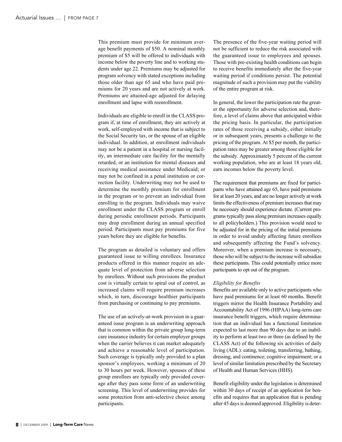This premium must provide for minimum average benefit payments of \$50. A nominal monthly premium of \$5 will be offered to individuals with income below the poverty line and to working students under age 22. Premiums may be adjusted for program solvency with stated exceptions including those older than age 65 and who have paid premiums for 20 years and are not actively at work. Premiums are attained-age adjusted for delaying enrollment and lapse with reenrollment.

Individuals are eligible to enroll in the CLASS program if, at time of enrollment, they are actively at work, self-employed with income that is subject to the Social Security tax, or the spouse of an eligible individual. In addition, at enrollment individuals may not be a patient in a hospital or nursing facility, an intermediate care facility for the mentally retarded, or an institution for mental diseases and receiving medical assistance under Medicaid; or may not be confined in a penal institution or correction facility. Underwriting may not be used to determine the monthly premium for enrollment in the program or to prevent an individual from enrolling in the program. Individuals may waive enrollment under the CLASS program or enroll during periodic enrollment periods. Participants may drop enrollment during an annual specified period. Participants must pay premiums for five years before they are eligible for benefits.

The program as detailed is voluntary and offers guaranteed issue to willing enrollees. Insurance products offered in this manner require an adequate level of protection from adverse selection by enrollees. Without such provisions the product cost is virtually certain to spiral out of control, as increased claims will require premium increases which, in turn, discourage healthier participants from purchasing or continuing to pay premiums.

The use of an actively-at-work provision in a guaranteed issue program is an underwriting approach that is common within the private group long-term care insurance industry for certain employer groups when the carrier believes it can market adequately and achieve a reasonable level of participation. Such coverage is typically only provided to a plan sponsor's employees, working a minimum of 20 to 30 hours per week. However, spouses of these group enrollees are typically only provided coverage after they pass some form of an underwriting screening. This level of underwriting provides for some protection from anti-selective choice among participants.

The presence of the five-year waiting period will not be sufficient to reduce the risk associated with the guaranteed issue to employees and spouses. Those with pre-existing health conditions can begin to receive benefits immediately after the five-year waiting period if conditions persist. The potential magnitude of such a provision may put the viability of the entire program at risk.

In general, the lower the participation rate the greater the opportunity for adverse selection and, therefore, a level of claims above that anticipated within the pricing basis. In particular, the participation rates of those receiving a subsidy, either initially or in subsequent years, presents a challenge to the pricing of the program. At \$5 per month, the participation rates may be greater among those eligible for the subsidy. Approximately 5 percent of the current working population, who are at least 18 years old, earn incomes below the poverty level.

The requirement that premiums are fixed for participants who have attained age 65, have paid premiums for at least 20 years, and are no longer actively at work limits the effectiveness of premium increases that may be necessary should experience dictate. (Current programs typically pass along premium increases equally to all policyholders.) This provision would need to be adjusted for in the pricing of the initial premiums in order to avoid unduly affecting future enrollees and subsequently affecting the Fund's solvency. Moreover, when a premium increase is necessary, those who will be subject to the increase will subsidize these participants. This could potentially entice more participants to opt out of the program.

#### *Eligibility for Benefits*

Benefits are available only to active participants who have paid premiums for at least 60 months. Benefit triggers mirror the Health Insurance Portability and Accountability Act of 1996 (HIPAA) long-term care insurance benefit triggers, which require determination that an individual has a functional limitation expected to last more than 90 days due to an inability to perform at least two or three (as defined by the CLASS Act) of the following six activities of daily living (ADL): eating, toileting, transferring, bathing, dressing, and continence; cognitive impairment; or a level of similar limitation prescribed by the Secretary of Health and Human Services (HHS).

Benefit eligibility under the legislation is determined within 30 days of receipt of an application for benefits and requires that an application that is pending after 45 days is deemed approved. Eligibility is deter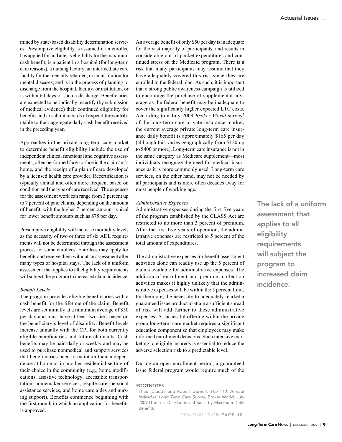mined by state-based disability determination services. Presumptive eligibility is assumed if an enrollee has applied for and attests eligibility for the maximum cash benefit; is a patient in a hospital (for long-term care reasons), a nursing facility, an intermediate care facility for the mentally retarded, or an institution for mental diseases; and is in the process of planning to discharge from the hospital, facility, or institution, or is within 60 days of such a discharge. Beneficiaries are expected to periodically recertify (by submission of medical evidence) their continued eligibility for benefits and to submit records of expenditures attributable to their aggregate daily cash benefit received in the preceding year.

Approaches in the private long-term care market to determine benefit eligibility include the use of independent clinical functional and cognitive assessments, often performed face-to-face in the claimant's home, and the receipt of a plan of care developed by a licensed health care provider. Recertification is typically annual and often more frequent based on condition and the type of care received. The expenses for the assessment work can range from 3 percent up to 7 percent of paid claims, depending on the amount of benefit, with the higher 7 percent amount typical for lower benefit amounts such as \$75 per day.

Presumptive eligibility will increase morbidity levels as the necessity of two or three of six ADL requirements will not be determined through the assessment process for some enrollees. Enrollees may apply for benefits and receive them without an assessment after many types of hospital stays. The lack of a uniform assessment that applies to all eligibility requirements will subject the program to increased claim incidence.

#### *Benefit Levels*

The program provides eligible beneficiaries with a cash benefit for the lifetime of the claim. Benefit levels are set initially at a minimum average of \$50 per day and must have at least two tiers based on the beneficiary's level of disability. Benefit levels increase annually with the CPI for both currently eligible beneficiaries and future claimants. Cash benefits may be paid daily or weekly and may be used to purchase nonmedical and support services that beneficiaries need to maintain their independence at home or in another residential setting of their choice in the community (e.g., home modifications, assistive technology, accessible transportation, homemaker services, respite care, personal assistance services, and home care aides and nursing support). Benefits commence beginning with the first month in which an application for benefits is approved.

An average benefit of only \$50 per day is inadequate for the vast majority of participants, and results in considerable out-of-pocket expenditures and continued stress on the Medicaid program. There is a risk that many participants may assume that they have adequately covered this risk since they are enrolled in the federal plan. As such, it is important that a strong public awareness campaign is utilized to encourage the purchase of supplemental coverage as the federal benefit may be inadequate to cover the significantly higher expected LTC costs. According to a July 2009 *Broker World* survey5 of the long-term care private insurance market, the current average private long-term care insurance daily benefit is approximately \$165 per day (although this varies geographically from \$120 up to \$400 or more). Long-term care insurance is not in the same category as Medicare supplement—most individuals recognize the need for medical insurance as it is more commonly used. Long-term care services, on the other hand, may not be needed by all participants and is more often decades away for most people of working age.

#### *Administrative Expenses*

Administrative expenses during the first five years of the program established by the CLASS Act are restricted to no more than 3 percent of premium. After the first five years of operation, the administrative expenses are restricted to 5 percent of the total amount of expenditures.

The administrative expenses for benefit assessment activities alone can readily use up the 5 percent of claims available for administrative expenses. The addition of enrollment and premium collection activities makes it highly unlikely that the administrative expenses will be within the 5 percent limit. Furthermore, the necessity to adequately market a guaranteed issue product to attain a sufficient spread of risk will add further to these administrative expenses. A successful offering within the private group long-term care market requires a significant education component so that employees may make informed enrollment decisions. Such intensive marketing to eligible insureds is essential to reduce the adverse selection risk to a predictable level.

During an open enrollment period, a guaranteed issue federal program would require much of the The lack of a uniform assessment that applies to all eligibility requirements will subject the program to increased claim incidence.

**FOOTNOTES** 

<sup>5</sup> Thau, Claude and Robert Darnell, *The 11th Annual Individual Long Term Care Survey*, Broker World, July 2009 (Table 5: Distribution of Sales by Maximum Daily Benefit).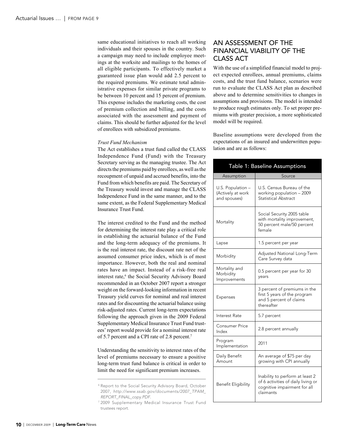same educational initiatives to reach all working individuals and their spouses in the country. Such a campaign may need to include employee meetings at the worksite and mailings to the homes of all eligible participants. To effectively market a guaranteed issue plan would add 2.5 percent to the required premiums. We estimate total administrative expenses for similar private programs to be between 10 percent and 15 percent of premium. This expense includes the marketing costs, the cost of premium collection and billing, and the costs associated with the assessment and payment of claims. This should be further adjusted for the level of enrollees with subsidized premiums.

#### *Trust Fund Mechanism*

The Act establishes a trust fund called the CLASS Independence Fund (Fund) with the Treasury Secretary serving as the managing trustee. The Act directs the premiums paid by enrollees, as well as the recoupment of unpaid and accrued benefits, into the Fund from which benefits are paid. The Secretary of the Treasury would invest and manage the CLASS Independence Fund in the same manner, and to the same extent, as the Federal Supplementary Medical Insurance Trust Fund.

The interest credited to the Fund and the method for determining the interest rate play a critical role in establishing the actuarial balance of the Fund and the long-term adequacy of the premiums. It is the real interest rate, the discount rate net of the assumed consumer price index, which is of most importance. However, both the real and nominal rates have an impact. Instead of a risk-free real interest rate,<sup>6</sup> the Social Security Advisory Board recommended in an October 2007 report a stronger weight on the forward-looking information in recent Treasury yield curves for nominal and real interest rates and for discounting the actuarial balance using risk-adjusted rates. Current long-term expectations following the approach given in the 2009 Federal Supplementary Medical Insurance Trust Fund trustees' report would provide for a nominal interest rate of 5.7 percent and a CPI rate of 2.8 percent.7

Understanding the sensitivity to interest rates of the level of premiums necessary to ensure a positive long-term trust fund balance is critical in order to limit the need for significant premium increases.

#### An Assessment of the Financial Viability of the CLASS Act

With the use of a simplified financial model to project expected enrollees, annual premiums, claims costs, and the trust fund balance, scenarios were run to evaluate the CLASS Act plan as described above and to determine sensitivities to changes in assumptions and provisions. The model is intended to produce rough estimates only. To set proper premiums with greater precision, a more sophisticated model will be required.

Baseline assumptions were developed from the expectations of an insured and underwritten population and are as follows:

| Table 1: Baseline Assumptions                          |                                                                                                                    |  |
|--------------------------------------------------------|--------------------------------------------------------------------------------------------------------------------|--|
| Assumption                                             | Source                                                                                                             |  |
| U.S. Population -<br>(Actively at work<br>and spouses) | U.S. Census Bureau of the<br>working population - 2009<br><b>Statistical Abstract</b>                              |  |
| Mortality                                              | Social Security 2005 table<br>with mortality improvement,<br>50 percent male/50 percent<br>female                  |  |
| Lapse                                                  | 1.5 percent per year                                                                                               |  |
| Morbidity                                              | Adjusted National Long-Term<br>Care Survey data                                                                    |  |
| Mortality and<br>Morbidity<br>Improvements             | 0.5 percent per year for 30<br>years                                                                               |  |
| <b>Expenses</b>                                        | 3 percent of premiums in the<br>first 5 years of the program<br>and 5 percent of claims<br>thereafter              |  |
| Interest Rate                                          | 5.7 percent                                                                                                        |  |
| Consumer Price<br>Index                                | 2.8 percent annually                                                                                               |  |
| Program<br>Implementation                              | 2011                                                                                                               |  |
| Daily Benefit<br>Amount                                | An average of \$75 per day<br>growing with CPI annually                                                            |  |
| Benefit Eligibility                                    | Inability to perform at least 2<br>of 6 activities of daily living or<br>cognitive impairment for all<br>claimants |  |

<sup>&</sup>lt;sup>6</sup> Report to the Social Security Advisory Board, October 2007, *http://www.ssab.gov/documents/2007\_TPAM\_ REPORT\_FINAL\_copy.PDF.* 

<sup>7</sup> 2009 Supplementary Medical Insurance Trust Fund trustees report.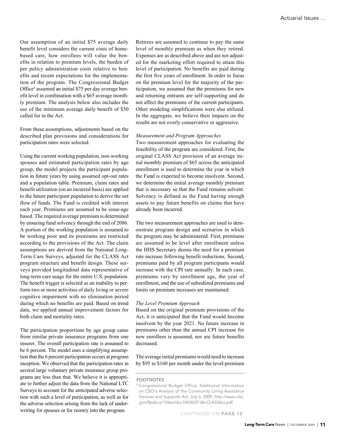Our assumption of an initial \$75 average daily benefit level considers the current costs of homebased care, how enrollees will value the benefits in relation to premium levels, the burden of per policy administration costs relative to benefits and recent expectations for the implementation of the program. The Congressional Budget Office<sup>8</sup> assumed an initial \$75 per day average benefit level in combination with a \$65 average monthly premium. The analysis below also includes the use of the minimum average daily benefit of \$50 called for in the Act.

From these assumptions, adjustments based on the described plan provisions and considerations for participation rates were selected.

Using the current working population, non-working spouses and estimated participation rates by age group, the model projects the participant population in future years by using assumed opt-out rates and a population table. Premium, claim rates and benefit utilization (on an incurred basis) are applied to the future participant population to derive the net flow of funds. The Fund is credited with interest each year. Premiums are assumed to be issue-age based. The required average premium is determined by ensuring fund solvency through the end of 2086. A portion of the working population is assumed to be working poor and its premiums are restricted according to the provisions of the Act. The claim assumptions are derived from the National Long-Term Care Surveys, adjusted for the CLASS Act program structure and benefit design. These surveys provided longitudinal data representative of long-term care usage for the entire U.S. population. The benefit trigger is selected as an inability to perform two or more activities of daily living or severe cognitive impairment with no elimination period during which no benefits are paid. Based on trend data, we applied annual improvement factors for both claim and mortality rates.

The participation proportions by age group came from similar private insurance programs from one insurer. The overall participation rate is assumed to be 6 percent. The model uses a simplifying assumption that the 6 percent participation occurs at program inception. We observed that the participation rates in several large voluntary private insurance group programs are less than that. We believe it is appropriate to further adjust the data from the National LTC Surveys to account for the anticipated adverse selection with such a level of participation, as well as for the adverse selection arising from the lack of underwriting for spouses or for reentry into the program.

Retirees are assumed to continue to pay the same level of monthly premium as when they retired. Expenses are as described above and are not adjusted for the marketing effort required to attain this level of participation. No benefits are paid during the first five years of enrollment. In order to focus on the premium level for the majority of the participation, we assumed that the premiums for new and returning entrants are self-supporting and do not affect the premiums of the current participants. Other modeling simplifications were also utilized. In the aggregate, we believe their impacts on the results are not overly conservative or aggressive.

#### *Measurement and Program Approaches*

Two measurement approaches for evaluating the feasibility of the program are considered. First, the original CLASS Act provision of an average initial monthly premium of \$65 across the anticipated enrollment is used to determine the year in which the Fund is expected to become insolvent. Second, we determine the initial average monthly premium that is necessary so that the Fund remains solvent. Solvency is defined as the Fund having enough assets to pay future benefits on claims that have already been incurred.

The two measurement approaches are used to demonstrate program design and scenarios in which the program may be administered. First, premiums are assumed to be level after enrollment unless the HHS Secretary deems the need for a premium rate increase following benefit reductions. Second, premiums paid by all program participants would increase with the CPI rate annually. In each case, premiums vary by enrollment age, the year of enrollment, and the use of subsidized premiums and limits on premium increases are maintained.

#### *The Level Premium Approach*

Based on the original premium provisions of the Act, it is anticipated that the Fund would become insolvent by the year 2021. No future increase in premiums other than the annual CPI increase for new enrollees is assumed, nor are future benefits decreased.

The average initial premiums would need to increase by \$95 to \$160 per month under the level-premium

#### **FOOTNOTES**

<sup>8</sup> Congressional Budget Office, Additional Information on CBO's Analysis of the Community Living Assistance Services and Supports Act, July 6, 2009, *http://www.cbo. gov/ftpdocs/104xx/doc10436/07-06-CLASSAct.pdf.*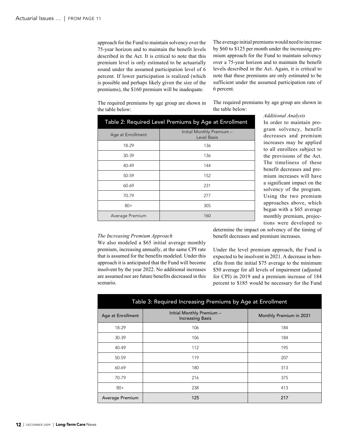approach for the Fund to maintain solvency over the 75-year horizon and to maintain the benefit levels described in the Act. It is critical to note that this premium level is only estimated to be actuarially sound under the assumed participation level of 6 percent. If lower participation is realized (which is possible and perhaps likely given the size of the premiums), the \$160 premium will be inadequate.

The average initial premiums would need to increase by \$60 to \$125 per month under the increasing premium approach for the Fund to maintain solvency over a 75-year horizon and to maintain the benefit levels described in the Act. Again, it is critical to note that these premiums are only estimated to be sufficient under the assumed participation rate of 6 percent.

The required premiums by age group are shown in the table below:

The required premiums by age group are shown in the table below: *Additional Analysis*

| Table 2: Required Level Premiums by Age at Enrollment |                                          |  |
|-------------------------------------------------------|------------------------------------------|--|
| Age at Enrollment                                     | Initial Monthly Premium -<br>Level Basis |  |
| 18-29                                                 | 136                                      |  |
| $30-39$                                               | 136                                      |  |
| $40 - 49$                                             | 144                                      |  |
| 50-59                                                 | 152                                      |  |
| 60-69                                                 | 231                                      |  |
| 70-79                                                 | 277                                      |  |
| $80+$                                                 | 305                                      |  |
| Average Premium                                       | 160                                      |  |

In order to maintain program solvency, benefit decreases and premium increases may be applied to all enrollees subject to the provisions of the Act. The timeliness of these benefit decreases and premium increases will have a significant impact on the solvency of the program. Using the two premium approaches above, which began with a \$65 average monthly premium, projections were developed to

#### *The Increasing Premium Approach*

We also modeled a \$65 initial average monthly premium, increasing annually, at the same CPI rate that is assumed for the benefits modeled. Under this approach it is anticipated that the Fund will become insolvent by the year 2022. No additional increases are assumed nor are future benefits decreased in this scenario.

determine the impact on solvency of the timing of benefit decreases and premium increases.

Under the level premium approach, the Fund is expected to be insolvent in 2021. A decrease in benefits from the initial \$75 average to the minimum \$50 average for all levels of impairment (adjusted for CPI) in 2019 and a premium increase of 184 percent to \$185 would be necessary for the Fund

| Table 3: Required Increasing Premiums by Age at Enrollment |                                                      |                         |
|------------------------------------------------------------|------------------------------------------------------|-------------------------|
| Age at Enrollment                                          | Initial Monthly Premium -<br><b>Increasing Basis</b> | Monthly Premium in 2031 |
| 18-29                                                      | 106                                                  | 184                     |
| 30-39                                                      | 106                                                  | 184                     |
| 40-49                                                      | 112                                                  | 195                     |
| 50-59                                                      | 119                                                  | 207                     |
| 60-69                                                      | 180                                                  | 313                     |
| 70-79                                                      | 216                                                  | 375                     |
| $80+$                                                      | 238                                                  | 413                     |
| Average Premium                                            | 125                                                  | 217                     |

12 | DECEMBER 2009 | Long-Term Care News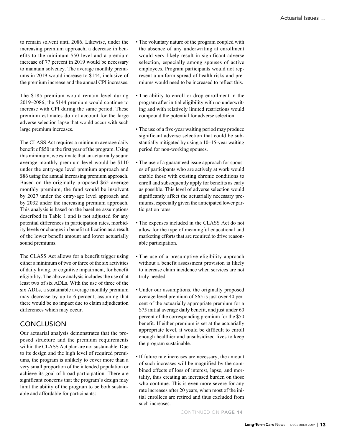to remain solvent until 2086. Likewise, under the increasing premium approach, a decrease in benefits to the minimum \$50 level and a premium increase of 77 percent in 2019 would be necessary to maintain solvency. The average monthly premiums in 2019 would increase to \$144, inclusive of the premium increase and the annual CPI increases.

The \$185 premium would remain level during 2019–2086; the \$144 premium would continue to increase with CPI during the same period. These premium estimates do not account for the large adverse selection lapse that would occur with such large premium increases.

The CLASS Act requires a minimum average daily benefit of \$50 in the first year of the program. Using this minimum, we estimate that an actuarially sound average monthly premium level would be \$110 under the entry-age level premium approach and \$86 using the annual increasing premium approach. Based on the originally proposed \$65 average monthly premium, the fund would be insolvent by 2027 under the entry-age level approach and by 2032 under the increasing premium approach. This analysis is based on the baseline assumptions described in Table 1 and is not adjusted for any potential differences in participation rates, morbidity levels or changes in benefit utilization as a result of the lower benefit amount and lower actuarially sound premiums.

The CLASS Act allows for a benefit trigger using either a minimum of two or three of the six activities of daily living, or cognitive impairment, for benefit eligibility. The above analysis includes the use of at least two of six ADLs. With the use of three of the six ADLs, a sustainable average monthly premium may decrease by up to 6 percent, assuming that there would be no impact due to claim adjudication differences which may occur.

#### Conclusion

Our actuarial analysis demonstrates that the proposed structure and the premium requirements within the CLASS Act plan are not sustainable. Due to its design and the high level of required premiums, the program is unlikely to cover more than a very small proportion of the intended population or achieve its goal of broad participation. There are significant concerns that the program's design may limit the ability of the program to be both sustainable and affordable for participants:

- The voluntary nature of the program coupled with the absence of any underwriting at enrollment would very likely result in significant adverse selection, especially among spouses of active employees. Program participants would not represent a uniform spread of health risks and premiums would need to be increased to reflect this.
- The ability to enroll or drop enrollment in the program after initial eligibility with no underwriting and with relatively limited restrictions would compound the potential for adverse selection.
- The use of a five-year waiting period may produce significant adverse selection that could be substantially mitigated by using a 10–15-year waiting period for non-working spouses.
- The use of a guaranteed issue approach for spouses of participants who are actively at work would enable those with existing chronic conditions to enroll and subsequently apply for benefits as early as possible. This level of adverse selection would significantly affect the actuarially necessary premiums, especially given the anticipated lower participation rates.
- The expenses included in the CLASS Act do not allow for the type of meaningful educational and marketing efforts that are required to drive reasonable participation.
- The use of a presumptive eligibility approach without a benefit assessment provision is likely to increase claim incidence when services are not truly needed.
- Under our assumptions, the originally proposed average level premium of \$65 is just over 40 percent of the actuarially appropriate premium for a \$75 initial average daily benefit, and just under 60 percent of the corresponding premium for the \$50 benefit. If either premium is set at the actuarially appropriate level, it would be difficult to enroll enough healthier and unsubsidized lives to keep the program sustainable.
- If future rate increases are necessary, the amount of such increases will be magnified by the combined effects of loss of interest, lapse, and mortality, thus creating an increased burden on those who continue. This is even more severe for any rate increases after 20 years, when most of the initial enrollees are retired and thus excluded from such increases.